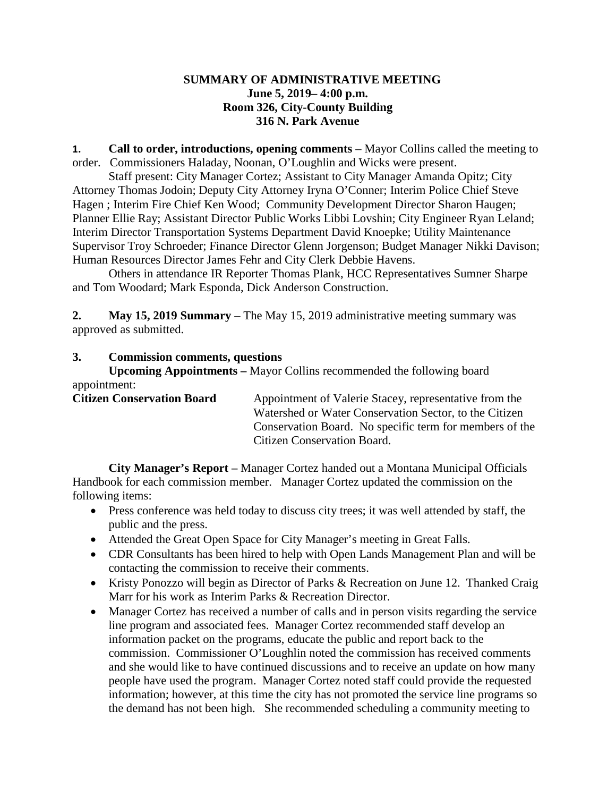## **SUMMARY OF ADMINISTRATIVE MEETING June 5, 2019– 4:00 p.m. Room 326, City-County Building 316 N. Park Avenue**

**1. Call to order, introductions, opening comments** – Mayor Collins called the meeting to order. Commissioners Haladay, Noonan, O'Loughlin and Wicks were present.

Staff present: City Manager Cortez; Assistant to City Manager Amanda Opitz; City Attorney Thomas Jodoin; Deputy City Attorney Iryna O'Conner; Interim Police Chief Steve Hagen ; Interim Fire Chief Ken Wood; Community Development Director Sharon Haugen; Planner Ellie Ray; Assistant Director Public Works Libbi Lovshin; City Engineer Ryan Leland; Interim Director Transportation Systems Department David Knoepke; Utility Maintenance Supervisor Troy Schroeder; Finance Director Glenn Jorgenson; Budget Manager Nikki Davison; Human Resources Director James Fehr and City Clerk Debbie Havens.

Others in attendance IR Reporter Thomas Plank, HCC Representatives Sumner Sharpe and Tom Woodard; Mark Esponda, Dick Anderson Construction.

**2. May 15, 2019 Summary** – The May 15, 2019 administrative meeting summary was approved as submitted.

# **3. Commission comments, questions**

**Upcoming Appointments –** Mayor Collins recommended the following board appointment:

| <b>Citizen Conservation Board</b> | Appointment of Valerie Stacey, representative from the  |
|-----------------------------------|---------------------------------------------------------|
|                                   | Watershed or Water Conservation Sector, to the Citizen  |
|                                   | Conservation Board. No specific term for members of the |
|                                   | Citizen Conservation Board.                             |

**City Manager's Report –** Manager Cortez handed out a Montana Municipal Officials Handbook for each commission member. Manager Cortez updated the commission on the following items:

- Press conference was held today to discuss city trees; it was well attended by staff, the public and the press.
- Attended the Great Open Space for City Manager's meeting in Great Falls.
- CDR Consultants has been hired to help with Open Lands Management Plan and will be contacting the commission to receive their comments.
- Kristy Ponozzo will begin as Director of Parks & Recreation on June 12. Thanked Craig Marr for his work as Interim Parks & Recreation Director.
- Manager Cortez has received a number of calls and in person visits regarding the service line program and associated fees. Manager Cortez recommended staff develop an information packet on the programs, educate the public and report back to the commission. Commissioner O'Loughlin noted the commission has received comments and she would like to have continued discussions and to receive an update on how many people have used the program. Manager Cortez noted staff could provide the requested information; however, at this time the city has not promoted the service line programs so the demand has not been high. She recommended scheduling a community meeting to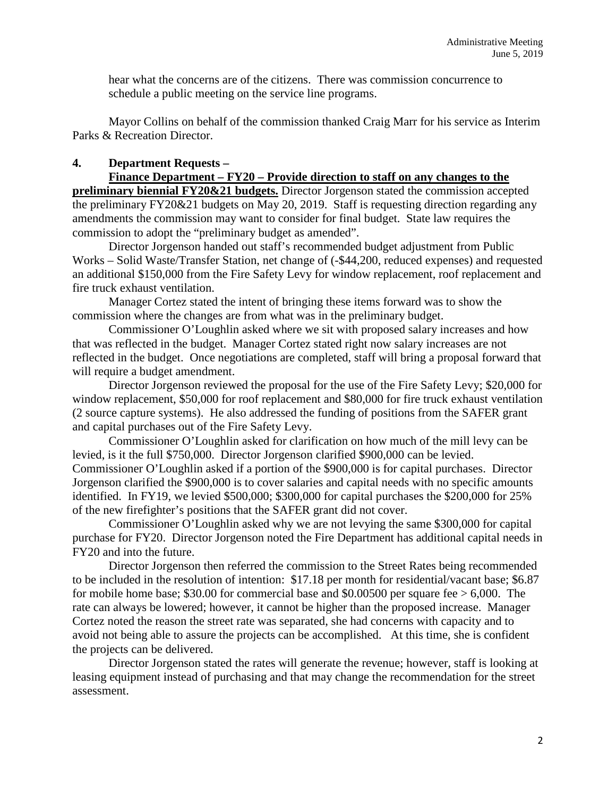hear what the concerns are of the citizens. There was commission concurrence to schedule a public meeting on the service line programs.

Mayor Collins on behalf of the commission thanked Craig Marr for his service as Interim Parks & Recreation Director.

## **4. Department Requests –**

**Finance Department – FY20 – Provide direction to staff on any changes to the preliminary biennial FY20&21 budgets.** Director Jorgenson stated the commission accepted the preliminary FY20&21 budgets on May 20, 2019. Staff is requesting direction regarding any amendments the commission may want to consider for final budget. State law requires the commission to adopt the "preliminary budget as amended".

Director Jorgenson handed out staff's recommended budget adjustment from Public Works – Solid Waste/Transfer Station, net change of (-\$44,200, reduced expenses) and requested an additional \$150,000 from the Fire Safety Levy for window replacement, roof replacement and fire truck exhaust ventilation.

Manager Cortez stated the intent of bringing these items forward was to show the commission where the changes are from what was in the preliminary budget.

Commissioner O'Loughlin asked where we sit with proposed salary increases and how that was reflected in the budget. Manager Cortez stated right now salary increases are not reflected in the budget. Once negotiations are completed, staff will bring a proposal forward that will require a budget amendment.

Director Jorgenson reviewed the proposal for the use of the Fire Safety Levy; \$20,000 for window replacement, \$50,000 for roof replacement and \$80,000 for fire truck exhaust ventilation (2 source capture systems). He also addressed the funding of positions from the SAFER grant and capital purchases out of the Fire Safety Levy.

Commissioner O'Loughlin asked for clarification on how much of the mill levy can be levied, is it the full \$750,000. Director Jorgenson clarified \$900,000 can be levied. Commissioner O'Loughlin asked if a portion of the \$900,000 is for capital purchases. Director Jorgenson clarified the \$900,000 is to cover salaries and capital needs with no specific amounts identified. In FY19, we levied \$500,000; \$300,000 for capital purchases the \$200,000 for 25% of the new firefighter's positions that the SAFER grant did not cover.

Commissioner O'Loughlin asked why we are not levying the same \$300,000 for capital purchase for FY20. Director Jorgenson noted the Fire Department has additional capital needs in FY20 and into the future.

Director Jorgenson then referred the commission to the Street Rates being recommended to be included in the resolution of intention: \$17.18 per month for residential/vacant base; \$6.87 for mobile home base; \$30.00 for commercial base and \$0.00500 per square fee  $> 6,000$ . The rate can always be lowered; however, it cannot be higher than the proposed increase. Manager Cortez noted the reason the street rate was separated, she had concerns with capacity and to avoid not being able to assure the projects can be accomplished. At this time, she is confident the projects can be delivered.

Director Jorgenson stated the rates will generate the revenue; however, staff is looking at leasing equipment instead of purchasing and that may change the recommendation for the street assessment.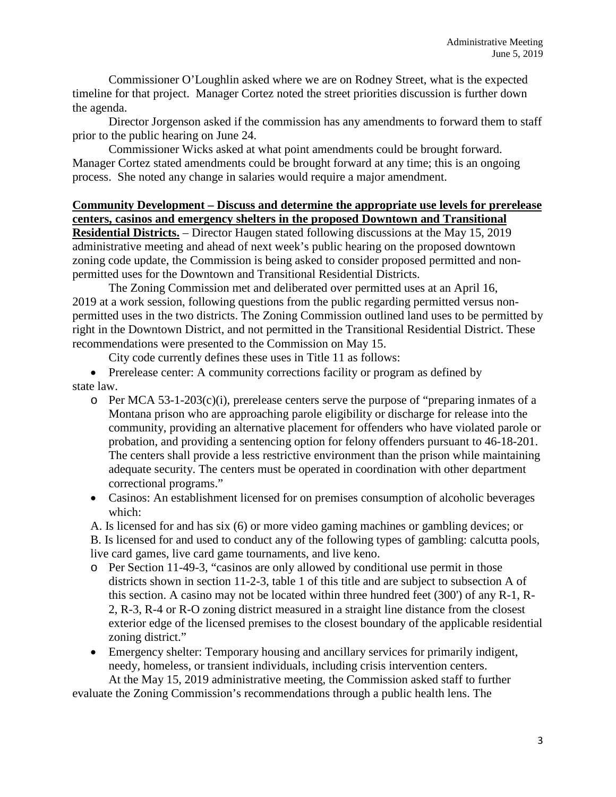Commissioner O'Loughlin asked where we are on Rodney Street, what is the expected timeline for that project. Manager Cortez noted the street priorities discussion is further down the agenda.

Director Jorgenson asked if the commission has any amendments to forward them to staff prior to the public hearing on June 24.

Commissioner Wicks asked at what point amendments could be brought forward. Manager Cortez stated amendments could be brought forward at any time; this is an ongoing process. She noted any change in salaries would require a major amendment.

# **Community Development – Discuss and determine the appropriate use levels for prerelease centers, casinos and emergency shelters in the proposed Downtown and Transitional**

**Residential Districts.** – Director Haugen stated following discussions at the May 15, 2019 administrative meeting and ahead of next week's public hearing on the proposed downtown zoning code update, the Commission is being asked to consider proposed permitted and nonpermitted uses for the Downtown and Transitional Residential Districts.

The Zoning Commission met and deliberated over permitted uses at an April 16, 2019 at a work session, following questions from the public regarding permitted versus nonpermitted uses in the two districts. The Zoning Commission outlined land uses to be permitted by right in the Downtown District, and not permitted in the Transitional Residential District. These recommendations were presented to the Commission on May 15.

City code currently defines these uses in Title 11 as follows:

• Prerelease center: A community corrections facility or program as defined by state law.

- $\circ$  Per MCA 53-1-203(c)(i), prerelease centers serve the purpose of "preparing inmates of a Montana prison who are approaching parole eligibility or discharge for release into the community, providing an alternative placement for offenders who have violated parole or probation, and providing a sentencing option for felony offenders pursuant to 46-18-201. The centers shall provide a less restrictive environment than the prison while maintaining adequate security. The centers must be operated in coordination with other department correctional programs."
- Casinos: An establishment licensed for on premises consumption of alcoholic beverages which:

A. Is licensed for and has six (6) or more video gaming machines or gambling devices; or B. Is licensed for and used to conduct any of the following types of gambling: calcutta pools, live card games, live card game tournaments, and live keno.

- o Per Section 11-49-3, "casinos are only allowed by conditional use permit in those districts shown in section 11-2-3, table 1 of this title and are subject to subsection A of this section. A casino may not be located within three hundred feet (300') of any R-1, R-2, R-3, R-4 or R-O zoning district measured in a straight line distance from the closest exterior edge of the licensed premises to the closest boundary of the applicable residential zoning district."
- Emergency shelter: Temporary housing and ancillary services for primarily indigent, needy, homeless, or transient individuals, including crisis intervention centers. At the May 15, 2019 administrative meeting, the Commission asked staff to further

evaluate the Zoning Commission's recommendations through a public health lens. The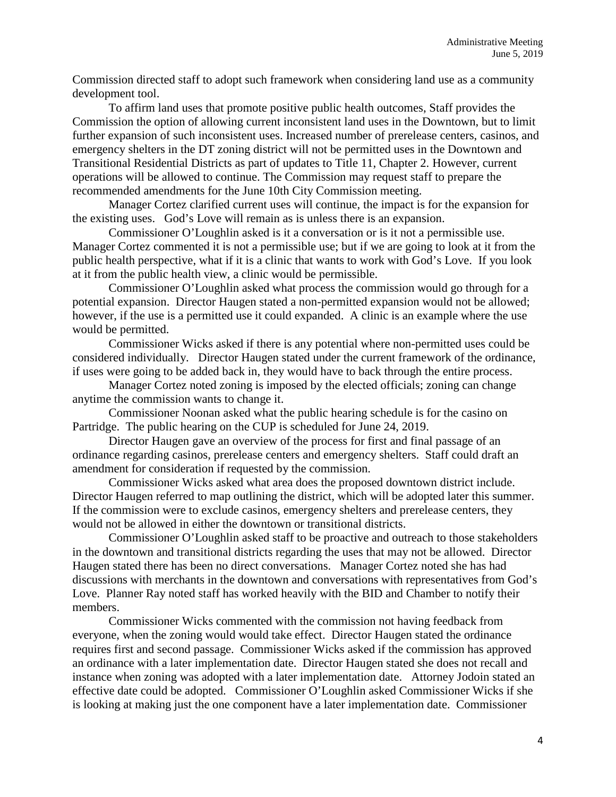Commission directed staff to adopt such framework when considering land use as a community development tool.

To affirm land uses that promote positive public health outcomes, Staff provides the Commission the option of allowing current inconsistent land uses in the Downtown, but to limit further expansion of such inconsistent uses. Increased number of prerelease centers, casinos, and emergency shelters in the DT zoning district will not be permitted uses in the Downtown and Transitional Residential Districts as part of updates to Title 11, Chapter 2. However, current operations will be allowed to continue. The Commission may request staff to prepare the recommended amendments for the June 10th City Commission meeting.

Manager Cortez clarified current uses will continue, the impact is for the expansion for the existing uses. God's Love will remain as is unless there is an expansion.

Commissioner O'Loughlin asked is it a conversation or is it not a permissible use. Manager Cortez commented it is not a permissible use; but if we are going to look at it from the public health perspective, what if it is a clinic that wants to work with God's Love. If you look at it from the public health view, a clinic would be permissible.

Commissioner O'Loughlin asked what process the commission would go through for a potential expansion. Director Haugen stated a non-permitted expansion would not be allowed; however, if the use is a permitted use it could expanded. A clinic is an example where the use would be permitted.

Commissioner Wicks asked if there is any potential where non-permitted uses could be considered individually. Director Haugen stated under the current framework of the ordinance, if uses were going to be added back in, they would have to back through the entire process.

Manager Cortez noted zoning is imposed by the elected officials; zoning can change anytime the commission wants to change it.

Commissioner Noonan asked what the public hearing schedule is for the casino on Partridge. The public hearing on the CUP is scheduled for June 24, 2019.

Director Haugen gave an overview of the process for first and final passage of an ordinance regarding casinos, prerelease centers and emergency shelters. Staff could draft an amendment for consideration if requested by the commission.

Commissioner Wicks asked what area does the proposed downtown district include. Director Haugen referred to map outlining the district, which will be adopted later this summer. If the commission were to exclude casinos, emergency shelters and prerelease centers, they would not be allowed in either the downtown or transitional districts.

Commissioner O'Loughlin asked staff to be proactive and outreach to those stakeholders in the downtown and transitional districts regarding the uses that may not be allowed. Director Haugen stated there has been no direct conversations. Manager Cortez noted she has had discussions with merchants in the downtown and conversations with representatives from God's Love. Planner Ray noted staff has worked heavily with the BID and Chamber to notify their members.

Commissioner Wicks commented with the commission not having feedback from everyone, when the zoning would would take effect. Director Haugen stated the ordinance requires first and second passage. Commissioner Wicks asked if the commission has approved an ordinance with a later implementation date. Director Haugen stated she does not recall and instance when zoning was adopted with a later implementation date. Attorney Jodoin stated an effective date could be adopted. Commissioner O'Loughlin asked Commissioner Wicks if she is looking at making just the one component have a later implementation date. Commissioner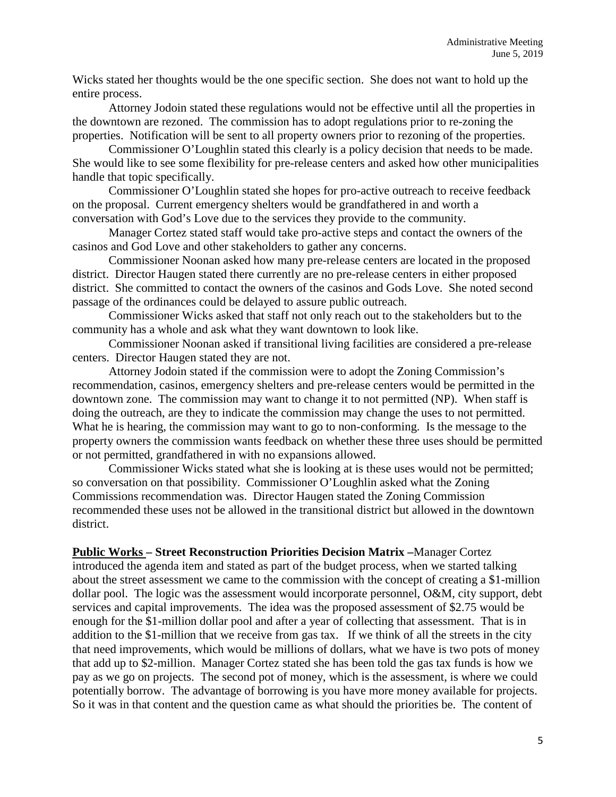Wicks stated her thoughts would be the one specific section. She does not want to hold up the entire process.

Attorney Jodoin stated these regulations would not be effective until all the properties in the downtown are rezoned. The commission has to adopt regulations prior to re-zoning the properties. Notification will be sent to all property owners prior to rezoning of the properties.

Commissioner O'Loughlin stated this clearly is a policy decision that needs to be made. She would like to see some flexibility for pre-release centers and asked how other municipalities handle that topic specifically.

Commissioner O'Loughlin stated she hopes for pro-active outreach to receive feedback on the proposal. Current emergency shelters would be grandfathered in and worth a conversation with God's Love due to the services they provide to the community.

Manager Cortez stated staff would take pro-active steps and contact the owners of the casinos and God Love and other stakeholders to gather any concerns.

Commissioner Noonan asked how many pre-release centers are located in the proposed district. Director Haugen stated there currently are no pre-release centers in either proposed district. She committed to contact the owners of the casinos and Gods Love. She noted second passage of the ordinances could be delayed to assure public outreach.

Commissioner Wicks asked that staff not only reach out to the stakeholders but to the community has a whole and ask what they want downtown to look like.

Commissioner Noonan asked if transitional living facilities are considered a pre-release centers. Director Haugen stated they are not.

Attorney Jodoin stated if the commission were to adopt the Zoning Commission's recommendation, casinos, emergency shelters and pre-release centers would be permitted in the downtown zone. The commission may want to change it to not permitted (NP). When staff is doing the outreach, are they to indicate the commission may change the uses to not permitted. What he is hearing, the commission may want to go to non-conforming. Is the message to the property owners the commission wants feedback on whether these three uses should be permitted or not permitted, grandfathered in with no expansions allowed.

Commissioner Wicks stated what she is looking at is these uses would not be permitted; so conversation on that possibility. Commissioner O'Loughlin asked what the Zoning Commissions recommendation was. Director Haugen stated the Zoning Commission recommended these uses not be allowed in the transitional district but allowed in the downtown district.

**Public Works – Street Reconstruction Priorities Decision Matrix –**Manager Cortez

introduced the agenda item and stated as part of the budget process, when we started talking about the street assessment we came to the commission with the concept of creating a \$1-million dollar pool. The logic was the assessment would incorporate personnel, O&M, city support, debt services and capital improvements. The idea was the proposed assessment of \$2.75 would be enough for the \$1-million dollar pool and after a year of collecting that assessment. That is in addition to the \$1-million that we receive from gas tax. If we think of all the streets in the city that need improvements, which would be millions of dollars, what we have is two pots of money that add up to \$2-million. Manager Cortez stated she has been told the gas tax funds is how we pay as we go on projects. The second pot of money, which is the assessment, is where we could potentially borrow. The advantage of borrowing is you have more money available for projects. So it was in that content and the question came as what should the priorities be. The content of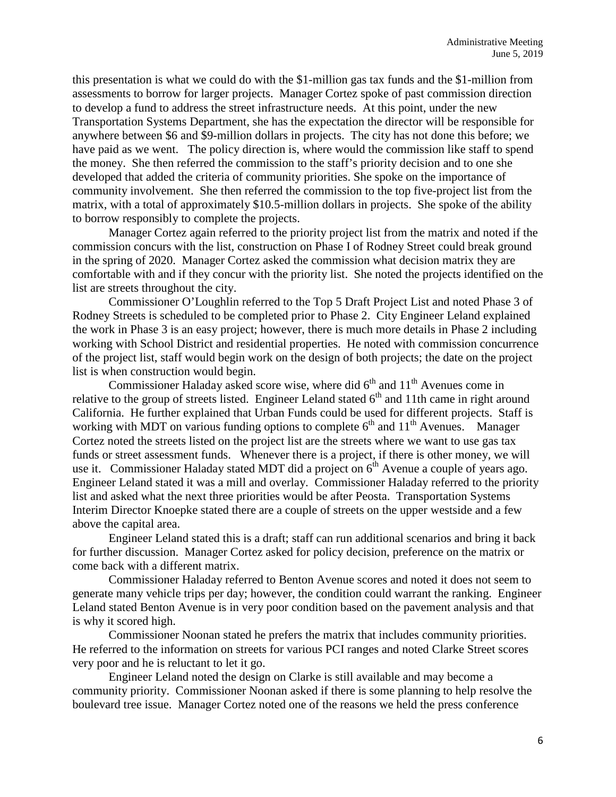this presentation is what we could do with the \$1-million gas tax funds and the \$1-million from assessments to borrow for larger projects. Manager Cortez spoke of past commission direction to develop a fund to address the street infrastructure needs. At this point, under the new Transportation Systems Department, she has the expectation the director will be responsible for anywhere between \$6 and \$9-million dollars in projects. The city has not done this before; we have paid as we went. The policy direction is, where would the commission like staff to spend the money. She then referred the commission to the staff's priority decision and to one she developed that added the criteria of community priorities. She spoke on the importance of community involvement. She then referred the commission to the top five-project list from the matrix, with a total of approximately \$10.5-million dollars in projects. She spoke of the ability to borrow responsibly to complete the projects.

Manager Cortez again referred to the priority project list from the matrix and noted if the commission concurs with the list, construction on Phase I of Rodney Street could break ground in the spring of 2020. Manager Cortez asked the commission what decision matrix they are comfortable with and if they concur with the priority list. She noted the projects identified on the list are streets throughout the city.

Commissioner O'Loughlin referred to the Top 5 Draft Project List and noted Phase 3 of Rodney Streets is scheduled to be completed prior to Phase 2. City Engineer Leland explained the work in Phase 3 is an easy project; however, there is much more details in Phase 2 including working with School District and residential properties. He noted with commission concurrence of the project list, staff would begin work on the design of both projects; the date on the project list is when construction would begin.

Commissioner Haladay asked score wise, where did  $6<sup>th</sup>$  and  $11<sup>th</sup>$  Avenues come in relative to the group of streets listed. Engineer Leland stated  $6<sup>th</sup>$  and 11th came in right around California. He further explained that Urban Funds could be used for different projects. Staff is working with MDT on various funding options to complete  $6<sup>th</sup>$  and  $11<sup>th</sup>$  Avenues. Manager Cortez noted the streets listed on the project list are the streets where we want to use gas tax funds or street assessment funds. Whenever there is a project, if there is other money, we will use it. Commissioner Haladay stated MDT did a project on  $6<sup>th</sup>$  Avenue a couple of years ago. Engineer Leland stated it was a mill and overlay. Commissioner Haladay referred to the priority list and asked what the next three priorities would be after Peosta. Transportation Systems Interim Director Knoepke stated there are a couple of streets on the upper westside and a few above the capital area.

Engineer Leland stated this is a draft; staff can run additional scenarios and bring it back for further discussion. Manager Cortez asked for policy decision, preference on the matrix or come back with a different matrix.

Commissioner Haladay referred to Benton Avenue scores and noted it does not seem to generate many vehicle trips per day; however, the condition could warrant the ranking. Engineer Leland stated Benton Avenue is in very poor condition based on the pavement analysis and that is why it scored high.

Commissioner Noonan stated he prefers the matrix that includes community priorities. He referred to the information on streets for various PCI ranges and noted Clarke Street scores very poor and he is reluctant to let it go.

Engineer Leland noted the design on Clarke is still available and may become a community priority. Commissioner Noonan asked if there is some planning to help resolve the boulevard tree issue. Manager Cortez noted one of the reasons we held the press conference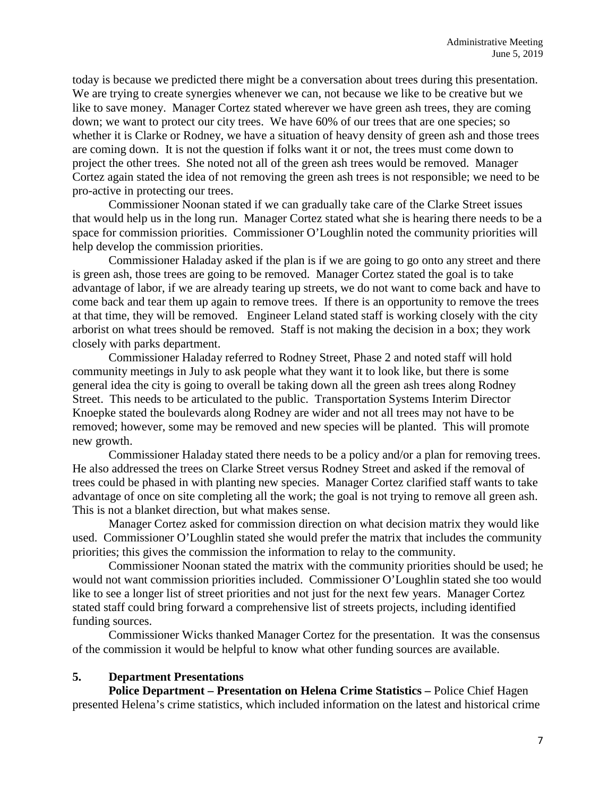today is because we predicted there might be a conversation about trees during this presentation. We are trying to create synergies whenever we can, not because we like to be creative but we like to save money. Manager Cortez stated wherever we have green ash trees, they are coming down; we want to protect our city trees. We have 60% of our trees that are one species; so whether it is Clarke or Rodney, we have a situation of heavy density of green ash and those trees are coming down. It is not the question if folks want it or not, the trees must come down to project the other trees. She noted not all of the green ash trees would be removed. Manager Cortez again stated the idea of not removing the green ash trees is not responsible; we need to be pro-active in protecting our trees.

Commissioner Noonan stated if we can gradually take care of the Clarke Street issues that would help us in the long run. Manager Cortez stated what she is hearing there needs to be a space for commission priorities. Commissioner O'Loughlin noted the community priorities will help develop the commission priorities.

Commissioner Haladay asked if the plan is if we are going to go onto any street and there is green ash, those trees are going to be removed. Manager Cortez stated the goal is to take advantage of labor, if we are already tearing up streets, we do not want to come back and have to come back and tear them up again to remove trees. If there is an opportunity to remove the trees at that time, they will be removed. Engineer Leland stated staff is working closely with the city arborist on what trees should be removed. Staff is not making the decision in a box; they work closely with parks department.

Commissioner Haladay referred to Rodney Street, Phase 2 and noted staff will hold community meetings in July to ask people what they want it to look like, but there is some general idea the city is going to overall be taking down all the green ash trees along Rodney Street. This needs to be articulated to the public. Transportation Systems Interim Director Knoepke stated the boulevards along Rodney are wider and not all trees may not have to be removed; however, some may be removed and new species will be planted. This will promote new growth.

Commissioner Haladay stated there needs to be a policy and/or a plan for removing trees. He also addressed the trees on Clarke Street versus Rodney Street and asked if the removal of trees could be phased in with planting new species. Manager Cortez clarified staff wants to take advantage of once on site completing all the work; the goal is not trying to remove all green ash. This is not a blanket direction, but what makes sense.

Manager Cortez asked for commission direction on what decision matrix they would like used. Commissioner O'Loughlin stated she would prefer the matrix that includes the community priorities; this gives the commission the information to relay to the community.

Commissioner Noonan stated the matrix with the community priorities should be used; he would not want commission priorities included. Commissioner O'Loughlin stated she too would like to see a longer list of street priorities and not just for the next few years. Manager Cortez stated staff could bring forward a comprehensive list of streets projects, including identified funding sources.

Commissioner Wicks thanked Manager Cortez for the presentation. It was the consensus of the commission it would be helpful to know what other funding sources are available.

#### **5. Department Presentations**

**Police Department – Presentation on Helena Crime Statistics –** Police Chief Hagen presented Helena's crime statistics, which included information on the latest and historical crime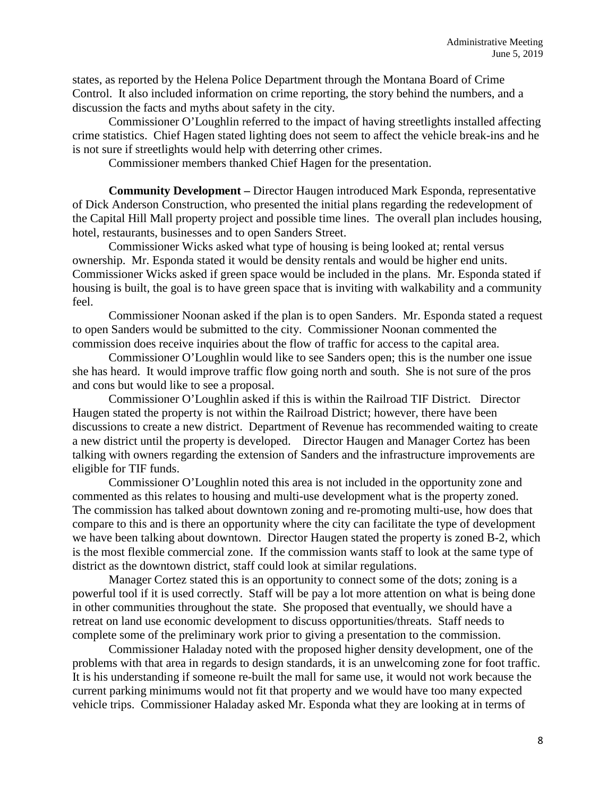states, as reported by the Helena Police Department through the Montana Board of Crime Control. It also included information on crime reporting, the story behind the numbers, and a discussion the facts and myths about safety in the city.

Commissioner O'Loughlin referred to the impact of having streetlights installed affecting crime statistics. Chief Hagen stated lighting does not seem to affect the vehicle break-ins and he is not sure if streetlights would help with deterring other crimes.

Commissioner members thanked Chief Hagen for the presentation.

**Community Development –** Director Haugen introduced Mark Esponda, representative of Dick Anderson Construction, who presented the initial plans regarding the redevelopment of the Capital Hill Mall property project and possible time lines. The overall plan includes housing, hotel, restaurants, businesses and to open Sanders Street.

Commissioner Wicks asked what type of housing is being looked at; rental versus ownership. Mr. Esponda stated it would be density rentals and would be higher end units. Commissioner Wicks asked if green space would be included in the plans. Mr. Esponda stated if housing is built, the goal is to have green space that is inviting with walkability and a community feel.

Commissioner Noonan asked if the plan is to open Sanders. Mr. Esponda stated a request to open Sanders would be submitted to the city. Commissioner Noonan commented the commission does receive inquiries about the flow of traffic for access to the capital area.

Commissioner O'Loughlin would like to see Sanders open; this is the number one issue she has heard. It would improve traffic flow going north and south. She is not sure of the pros and cons but would like to see a proposal.

Commissioner O'Loughlin asked if this is within the Railroad TIF District. Director Haugen stated the property is not within the Railroad District; however, there have been discussions to create a new district. Department of Revenue has recommended waiting to create a new district until the property is developed. Director Haugen and Manager Cortez has been talking with owners regarding the extension of Sanders and the infrastructure improvements are eligible for TIF funds.

Commissioner O'Loughlin noted this area is not included in the opportunity zone and commented as this relates to housing and multi-use development what is the property zoned. The commission has talked about downtown zoning and re-promoting multi-use, how does that compare to this and is there an opportunity where the city can facilitate the type of development we have been talking about downtown. Director Haugen stated the property is zoned B-2, which is the most flexible commercial zone. If the commission wants staff to look at the same type of district as the downtown district, staff could look at similar regulations.

Manager Cortez stated this is an opportunity to connect some of the dots; zoning is a powerful tool if it is used correctly. Staff will be pay a lot more attention on what is being done in other communities throughout the state. She proposed that eventually, we should have a retreat on land use economic development to discuss opportunities/threats. Staff needs to complete some of the preliminary work prior to giving a presentation to the commission.

Commissioner Haladay noted with the proposed higher density development, one of the problems with that area in regards to design standards, it is an unwelcoming zone for foot traffic. It is his understanding if someone re-built the mall for same use, it would not work because the current parking minimums would not fit that property and we would have too many expected vehicle trips. Commissioner Haladay asked Mr. Esponda what they are looking at in terms of